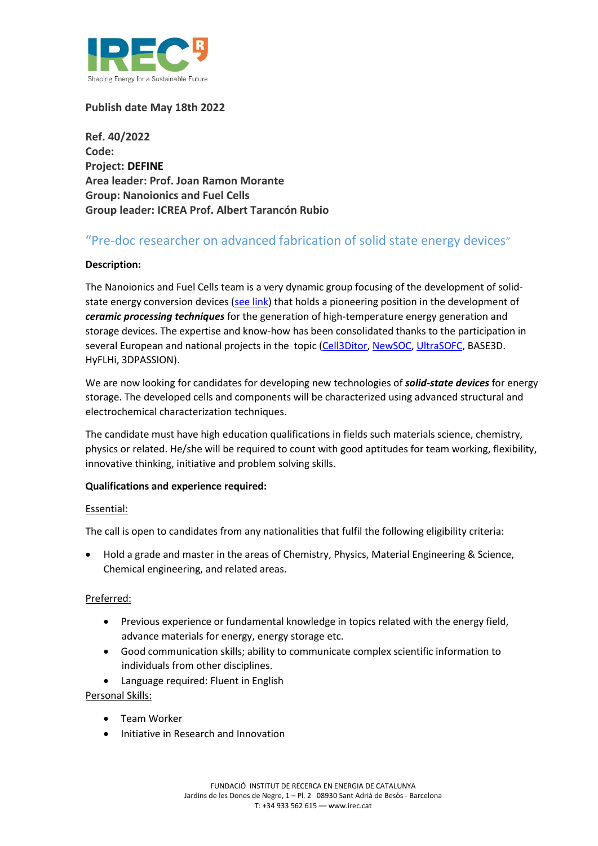

**Publish date May 18th 2022**

**Ref. 40/2022 Code: Project: DEFINE Area leader: Prof. Joan Ramon Morante Group: Nanoionics and Fuel Cells Group leader: ICREA Prof. Albert Tarancón Rubio**

# "Pre-doc researcher on advanced fabrication of solid state energy devices"

## **Description:**

The Nanoionics and Fuel Cells team is a very dynamic group focusing of the development of solid-state energy conversion devices [\(see link\)](https://www.atlab.es/) that holds a pioneering position in the development of *ceramic processing techniques* for the generation of high-temperature energy generation and storage devices. The expertise and know-how has been consolidated thanks to the participation in several European and national projects in the topic [\(Cell3Ditor,](http://www.cell3ditor.eu/) [NewSOC,](https://www.newsoc.eu/#:~:text=The%20NewSOC%20project&text=central%20and%20decentral%20solutions%20for,the%2Dart%20(SoA).) [UltraSOFC,](https://ultrasofc.eu/index.php/contact/) BASE3D. HyFLHi, 3DPASSION).

We are now looking for candidates for developing new technologies of *solid-state devices* for energy storage. The developed cells and components will be characterized using advanced structural and electrochemical characterization techniques.

The candidate must have high education qualifications in fields such materials science, chemistry, physics or related. He/she will be required to count with good aptitudes for team working, flexibility, innovative thinking, initiative and problem solving skills.

## **Qualifications and experience required:**

#### Essential:

The call is open to candidates from any nationalities that fulfil the following eligibility criteria:

 Hold a grade and master in the areas of Chemistry, Physics, Material Engineering & Science, Chemical engineering, and related areas.

## Preferred:

- Previous experience or fundamental knowledge in topics related with the energy field, advance materials for energy, energy storage etc.
- Good communication skills; ability to communicate complex scientific information to individuals from other disciplines.
- Language required: Fluent in English

#### Personal Skills:

- Team Worker
- Initiative in Research and Innovation